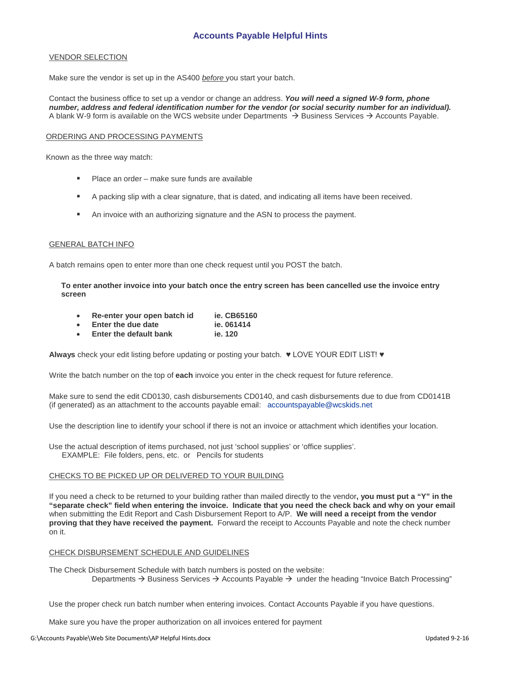# **Accounts Payable Helpful Hints**

#### VENDOR SELECTION

Make sure the vendor is set up in the AS400 *before* you start your batch.

Contact the business office to set up a vendor or change an address. *You will need a signed W-9 form, phone number, address and federal identification number for the vendor (or social security number for an individual).*  A blank W-9 form is available on the WCS website under Departments  $\rightarrow$  Business Services  $\rightarrow$  Accounts Payable.

#### ORDERING AND PROCESSING PAYMENTS

Known as the three way match:

- **Place an order make sure funds are available**
- **A** packing slip with a clear signature, that is dated, and indicating all items have been received.
- An invoice with an authorizing signature and the ASN to process the payment.

#### GENERAL BATCH INFO

A batch remains open to enter more than one check request until you POST the batch.

**To enter another invoice into your batch once the entry screen has been cancelled use the invoice entry screen** 

|  | Re-enter your open batch id |  |  |  | ie. CB65160 |
|--|-----------------------------|--|--|--|-------------|
|--|-----------------------------|--|--|--|-------------|

- 
- **Enter the due date** ie. 061414<br> **Enter the default bank** ie. 120 **Enter the default bank**

**Always** check your edit listing before updating or posting your batch. ♥ LOVE YOUR EDIT LIST! ♥

Write the batch number on the top of **each** invoice you enter in the check request for future reference.

Make sure to send the edit CD0130, cash disbursements CD0140, and cash disbursements due to due from CD0141B (if generated) as an attachment to the accounts payable email: [accountspayable@wcskids.net](mailto:accountspayable@wcskids.net)

Use the description line to identify your school if there is not an invoice or attachment which identifies your location.

Use the actual description of items purchased, not just 'school supplies' or 'office supplies'. EXAMPLE: File folders, pens, etc. or Pencils for students

### CHECKS TO BE PICKED UP OR DELIVERED TO YOUR BUILDING

If you need a check to be returned to your building rather than mailed directly to the vendor**, you must put a "Y" in the "separate check" field when entering the invoice. Indicate that you need the check back and why on your email**  when submitting the Edit Report and Cash Disbursement Report to A/P. **We will need a receipt from the vendor proving that they have received the payment.** Forward the receipt to Accounts Payable and note the check number on it.

### CHECK DISBURSEMENT SCHEDULE AND GUIDELINES

The Check Disbursement Schedule with batch numbers is posted on the website: Departments  $\rightarrow$  Business Services  $\rightarrow$  Accounts Payable  $\rightarrow$  under the heading "Invoice Batch Processing"

Use the proper check run batch number when entering invoices. Contact Accounts Payable if you have questions.

Make sure you have the proper authorization on all invoices entered for payment